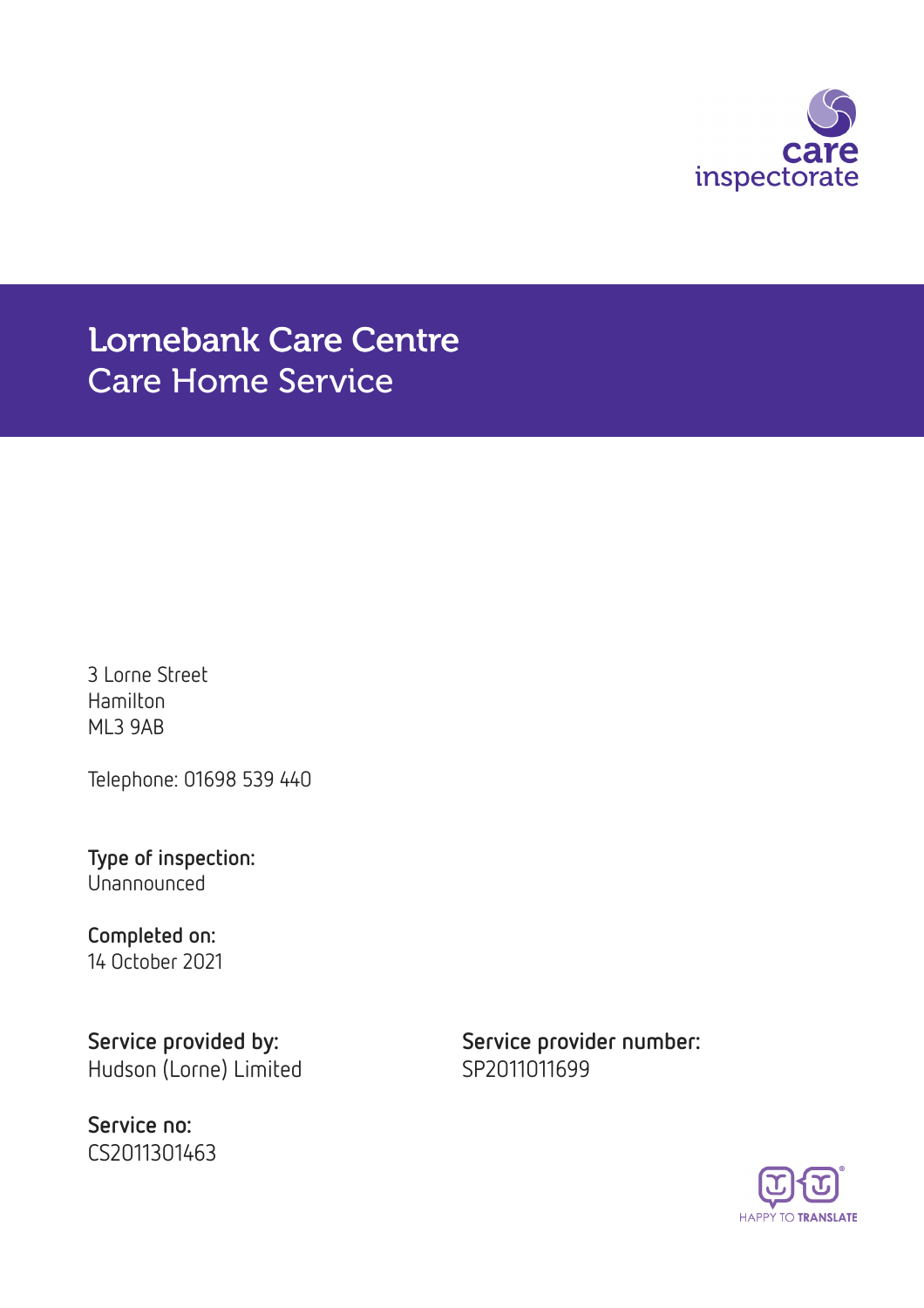

# Lornebank Care Centre Care Home Service

3 Lorne Street Hamilton ML3 9AB

Telephone: 01698 539 440

Type of inspection: Unannounced

Completed on: 14 October 2021

Hudson (Lorne) Limited SP2011011699

Service no: CS2011301463

Service provided by: Service provider number:

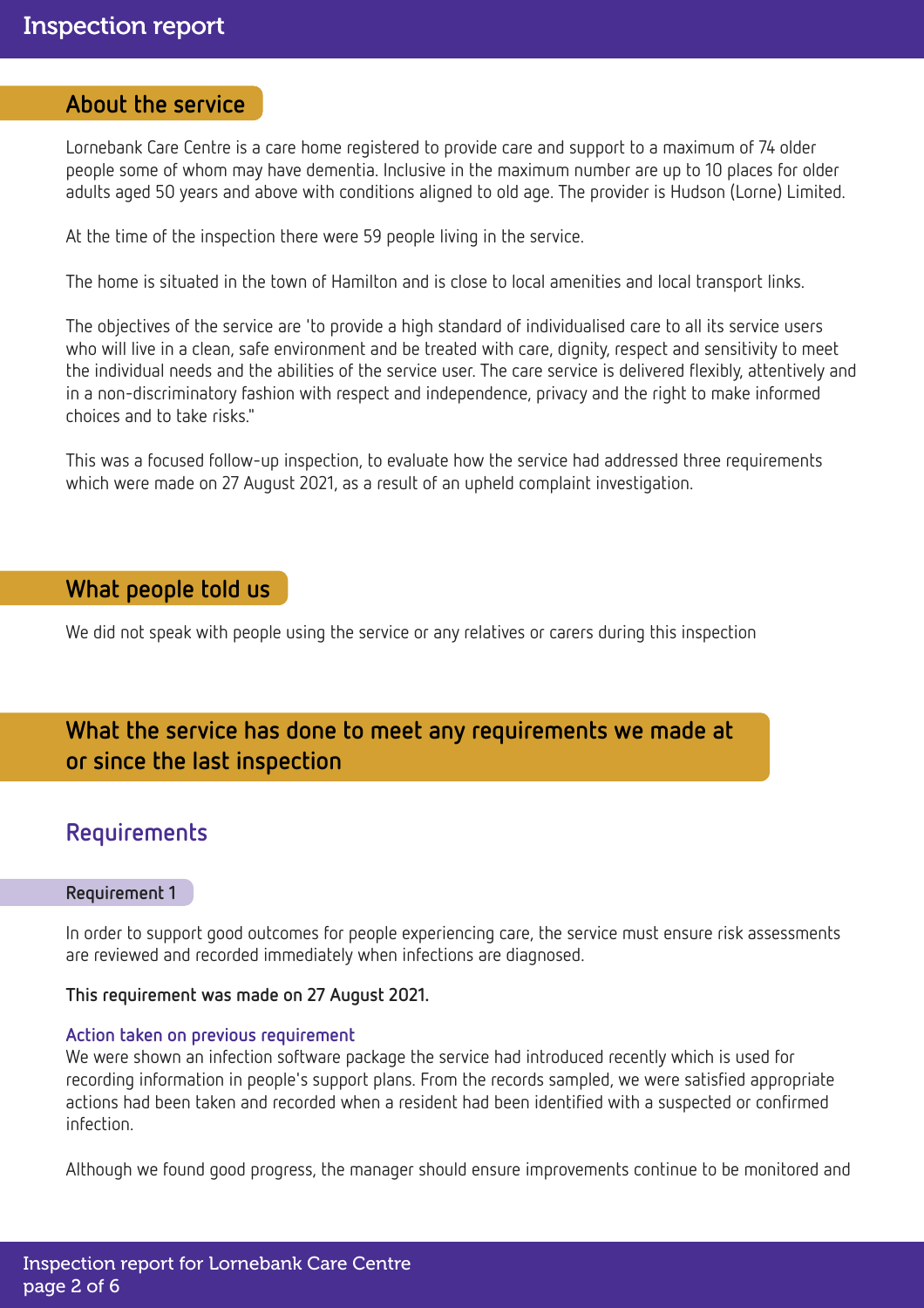### About the service

Lornebank Care Centre is a care home registered to provide care and support to a maximum of 74 older people some of whom may have dementia. Inclusive in the maximum number are up to 10 places for older adults aged 50 years and above with conditions aligned to old age. The provider is Hudson (Lorne) Limited.

At the time of the inspection there were 59 people living in the service.

The home is situated in the town of Hamilton and is close to local amenities and local transport links.

The objectives of the service are 'to provide a high standard of individualised care to all its service users who will live in a clean, safe environment and be treated with care, dignity, respect and sensitivity to meet the individual needs and the abilities of the service user. The care service is delivered flexibly, attentively and in a non-discriminatory fashion with respect and independence, privacy and the right to make informed choices and to take risks."

This was a focused follow-up inspection, to evaluate how the service had addressed three requirements which were made on 27 August 2021, as a result of an upheld complaint investigation.

### What people told us

We did not speak with people using the service or any relatives or carers during this inspection

# What the service has done to meet any requirements we made at or since the last inspection

## Requirements

### Requirement 1

In order to support good outcomes for people experiencing care, the service must ensure risk assessments are reviewed and recorded immediately when infections are diagnosed.

### This requirement was made on 27 August 2021.

#### Action taken on previous requirement

We were shown an infection software package the service had introduced recently which is used for recording information in people's support plans. From the records sampled, we were satisfied appropriate actions had been taken and recorded when a resident had been identified with a suspected or confirmed infection.

Although we found good progress, the manager should ensure improvements continue to be monitored and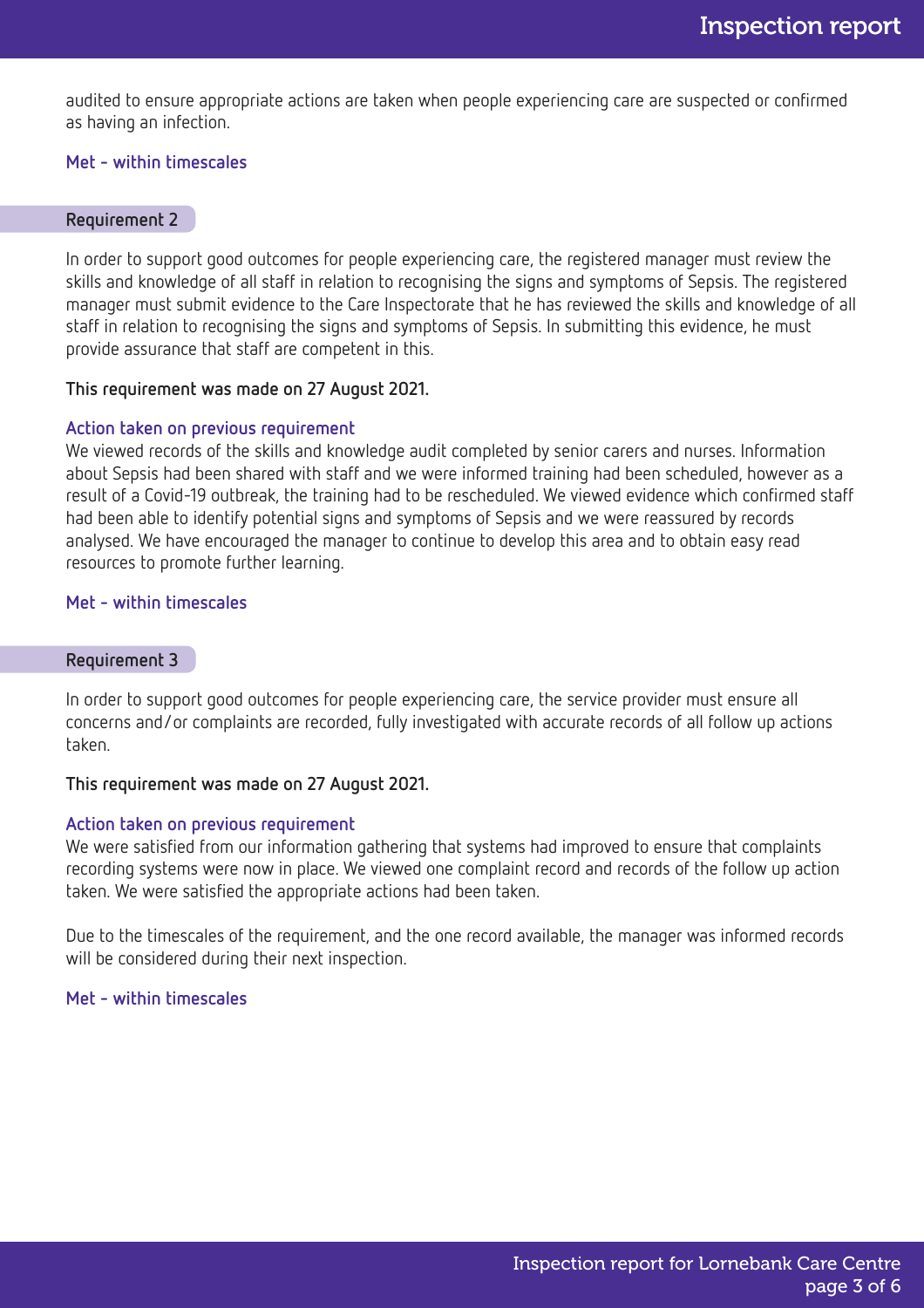audited to ensure appropriate actions are taken when people experiencing care are suspected or confirmed as having an infection.

### Met - within timescales

#### Requirement 2

In order to support good outcomes for people experiencing care, the registered manager must review the skills and knowledge of all staff in relation to recognising the signs and symptoms of Sepsis. The registered manager must submit evidence to the Care Inspectorate that he has reviewed the skills and knowledge of all staff in relation to recognising the signs and symptoms of Sepsis. In submitting this evidence, he must provide assurance that staff are competent in this.

#### This requirement was made on 27 August 2021.

#### Action taken on previous requirement

We viewed records of the skills and knowledge audit completed by senior carers and nurses. Information about Sepsis had been shared with staff and we were informed training had been scheduled, however as a result of a Covid-19 outbreak, the training had to be rescheduled. We viewed evidence which confirmed staff had been able to identify potential signs and symptoms of Sepsis and we were reassured by records analysed. We have encouraged the manager to continue to develop this area and to obtain easy read resources to promote further learning.

### Met - within timescales

#### Requirement 3

In order to support good outcomes for people experiencing care, the service provider must ensure all concerns and/or complaints are recorded, fully investigated with accurate records of all follow up actions taken.

#### This requirement was made on 27 August 2021.

### Action taken on previous requirement

We were satisfied from our information gathering that systems had improved to ensure that complaints recording systems were now in place. We viewed one complaint record and records of the follow up action taken. We were satisfied the appropriate actions had been taken.

Due to the timescales of the requirement, and the one record available, the manager was informed records will be considered during their next inspection.

#### Met - within timescales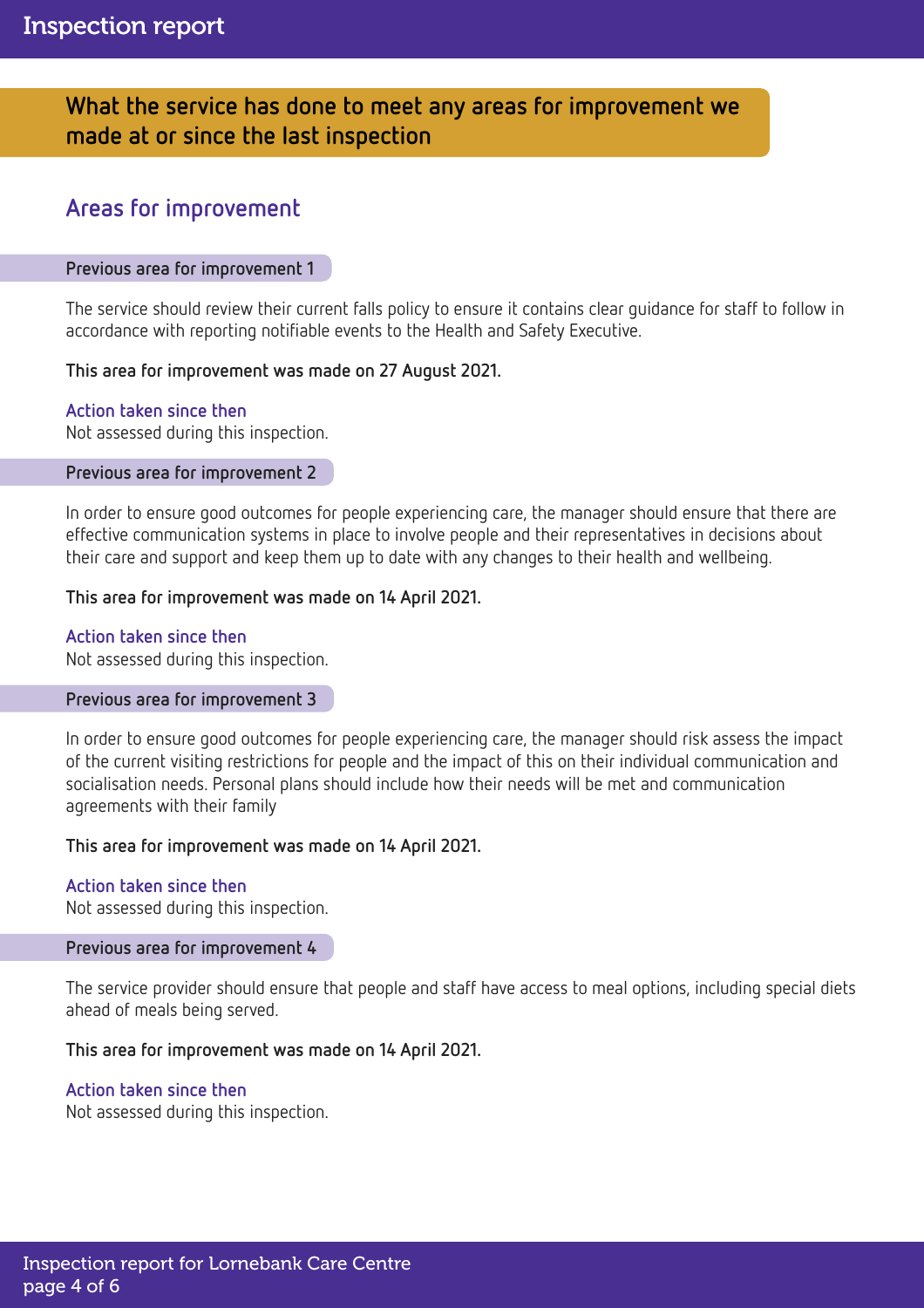# What the service has done to meet any areas for improvement we made at or since the last inspection

# Areas for improvement

### Previous area for improvement 1

The service should review their current falls policy to ensure it contains clear guidance for staff to follow in accordance with reporting notifiable events to the Health and Safety Executive.

### This area for improvement was made on 27 August 2021.

### Action taken since then

Not assessed during this inspection.

### Previous area for improvement 2

In order to ensure good outcomes for people experiencing care, the manager should ensure that there are effective communication systems in place to involve people and their representatives in decisions about their care and support and keep them up to date with any changes to their health and wellbeing.

### This area for improvement was made on 14 April 2021.

### Action taken since then

Not assessed during this inspection.

### Previous area for improvement 3

In order to ensure good outcomes for people experiencing care, the manager should risk assess the impact of the current visiting restrictions for people and the impact of this on their individual communication and socialisation needs. Personal plans should include how their needs will be met and communication agreements with their family

### This area for improvement was made on 14 April 2021.

# Action taken since then

Not assessed during this inspection.

### Previous area for improvement 4

The service provider should ensure that people and staff have access to meal options, including special diets ahead of meals being served.

### This area for improvement was made on 14 April 2021.

### Action taken since then

Not assessed during this inspection.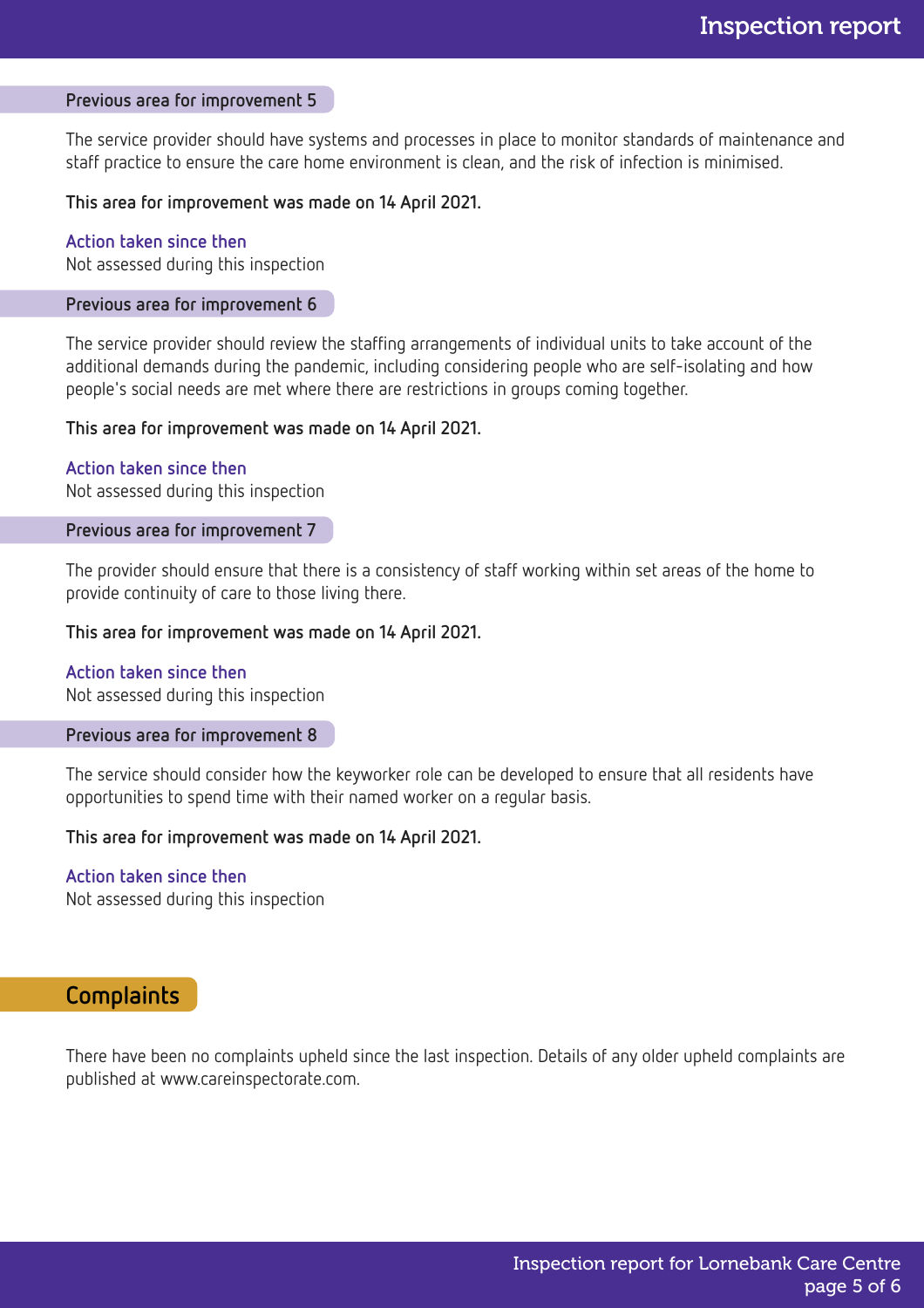#### Previous area for improvement 5

The service provider should have systems and processes in place to monitor standards of maintenance and staff practice to ensure the care home environment is clean, and the risk of infection is minimised.

### This area for improvement was made on 14 April 2021.

### Action taken since then

Not assessed during this inspection

### Previous area for improvement 6

The service provider should review the staffing arrangements of individual units to take account of the additional demands during the pandemic, including considering people who are self-isolating and how people's social needs are met where there are restrictions in groups coming together.

#### This area for improvement was made on 14 April 2021.

Action taken since then Not assessed during this inspection

#### Previous area for improvement 7

The provider should ensure that there is a consistency of staff working within set areas of the home to provide continuity of care to those living there.

#### This area for improvement was made on 14 April 2021.

### Action taken since then

Not assessed during this inspection

#### Previous area for improvement 8

The service should consider how the keyworker role can be developed to ensure that all residents have opportunities to spend time with their named worker on a regular basis.

#### This area for improvement was made on 14 April 2021.

### Action taken since then

Not assessed during this inspection

### **Complaints**

There have been no complaints upheld since the last inspection. Details of any older upheld complaints are published at www.careinspectorate.com.